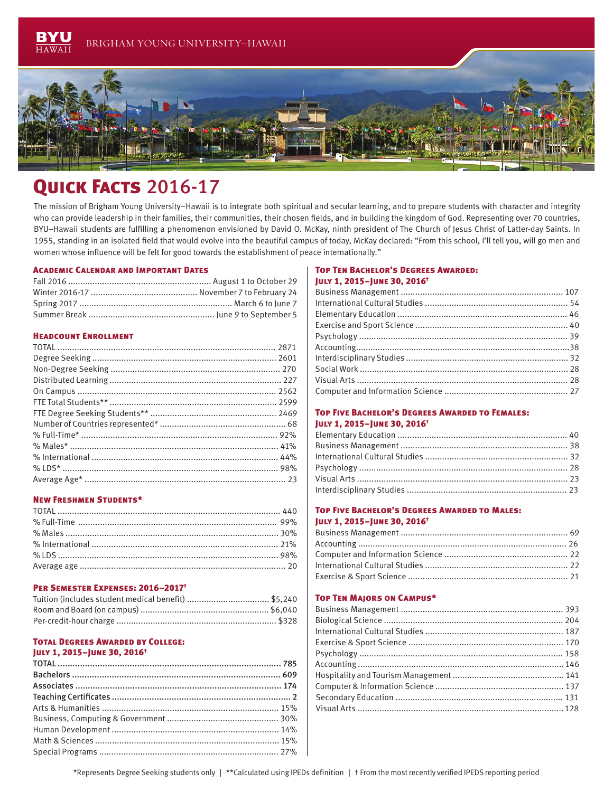

# QUICK FACTS 2016-17

The mission of Brigham Young University–Hawaii is to integrate both spiritual and secular learning, and to prepare students with character and integrity who can provide leadership in their families, their communities, their chosen fields, and in building the kingdom of God. Representing over 70 countries, BYU–Hawaii students are fulfilling a phenomenon envisioned by David O. McKay, ninth president of The Church of Jesus Christ of Latter-day Saints. In 1955, standing in an isolated field that would evolve into the beautiful campus of today, McKay declared: "From this school, I'll tell you, will go men and women whose influence will be felt for good towards the establishment of peace internationally."

#### Academic Calendar and Important Dates

# Headcount Enrollment

#### New Freshmen Students\*

#### Per Semester Expenses: 2016–2017†

# Total Degrees Awarded by College:

# July 1, 2015–June 30, 2016†

## Top Ten Bachelor's Degrees Awarded: July 1, 2015–June 30, 2016†

### Top Five Bachelor's Degrees Awarded to Females: July 1, 2015–June 30, 2016†

#### Top Five Bachelor's Degrees Awarded to Males: July 1, 2015–June 30, 2016†

#### Top Ten Majors on Campus\*